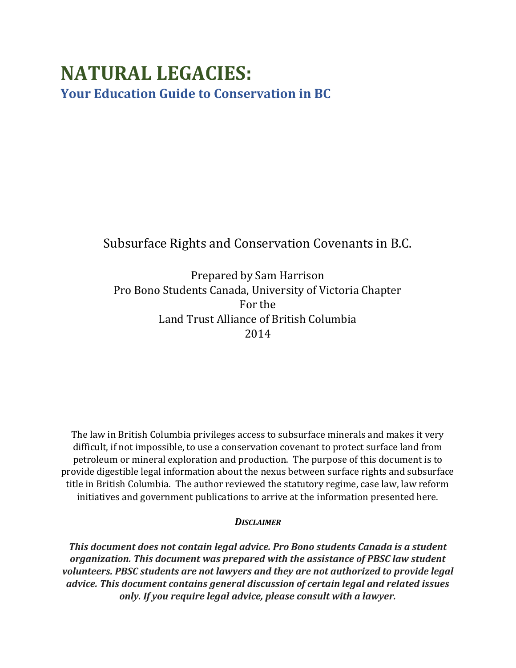# **NATURAL LEGACIES: Your Education Guide to Conservation in BC**

# Subsurface Rights and Conservation Covenants in B.C.

Prepared by Sam Harrison Pro Bono Students Canada, University of Victoria Chapter For the Land Trust Alliance of British Columbia 2014

The law in British Columbia privileges access to subsurface minerals and makes it very difficult, if not impossible, to use a conservation covenant to protect surface land from petroleum or mineral exploration and production. The purpose of this document is to provide digestible legal information about the nexus between surface rights and subsurface title in British Columbia. The author reviewed the statutory regime, case law, law reform initiatives and government publications to arrive at the information presented here.

#### *DISCLAIMER*

*This document does not contain legal advice. Pro Bono students Canada is a student organization. This document was prepared with the assistance of PBSC law student volunteers. PBSC students are not lawyers and they are not authorized to provide legal advice. This document contains general discussion of certain legal and related issues only. If you require legal advice, please consult with a lawyer.*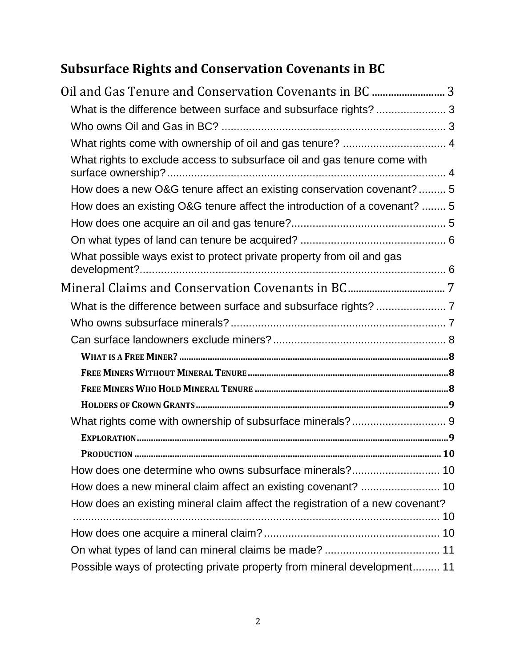# **Subsurface Rights and Conservation Covenants in BC**

| Oil and Gas Tenure and Conservation Covenants in BC  3                        |
|-------------------------------------------------------------------------------|
| What is the difference between surface and subsurface rights?  3              |
|                                                                               |
| What rights come with ownership of oil and gas tenure?  4                     |
| What rights to exclude access to subsurface oil and gas tenure come with      |
| How does a new O&G tenure affect an existing conservation covenant?  5        |
| How does an existing O&G tenure affect the introduction of a covenant?  5     |
|                                                                               |
|                                                                               |
| What possible ways exist to protect private property from oil and gas         |
|                                                                               |
|                                                                               |
|                                                                               |
|                                                                               |
|                                                                               |
|                                                                               |
|                                                                               |
|                                                                               |
|                                                                               |
|                                                                               |
|                                                                               |
|                                                                               |
| How does a new mineral claim affect an existing covenant?  10                 |
| How does an existing mineral claim affect the registration of a new covenant? |
|                                                                               |
|                                                                               |
| Possible ways of protecting private property from mineral development 11      |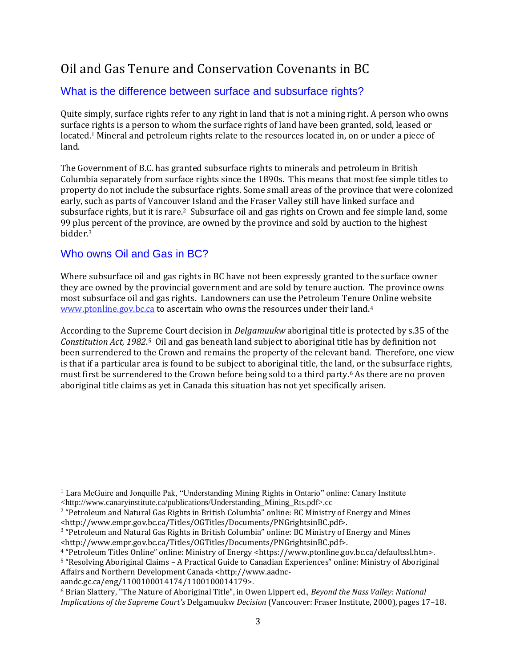# <span id="page-2-0"></span>Oil and Gas Tenure and Conservation Covenants in BC

# <span id="page-2-1"></span>What is the difference between surface and subsurface rights?

Quite simply, surface rights refer to any right in land that is not a mining right. A person who owns surface rights is a person to whom the surface rights of land have been granted, sold, leased or located.<sup>1</sup> Mineral and petroleum rights relate to the resources located in, on or under a piece of land.

The Government of B.C. has granted subsurface rights to minerals and petroleum in British Columbia separately from surface rights since the 1890s. This means that most fee simple titles to property do not include the subsurface rights. Some small areas of the province that were colonized early, such as parts of Vancouver Island and the Fraser Valley still have linked surface and subsurface rights, but it is rare.2 Subsurface oil and gas rights on Crown and fee simple land, some 99 plus percent of the province, are owned by the province and sold by auction to the highest bidder.<sup>3</sup>

# <span id="page-2-2"></span>Who owns Oil and Gas in BC?

Where subsurface oil and gas rights in BC have not been expressly granted to the surface owner they are owned by the provincial government and are sold by tenure auction. The province owns most subsurface oil and gas rights. Landowners can use the Petroleum Tenure Online website [www.ptonline.gov.bc.ca](http://www.ptonline.gov.bc.ca/) to ascertain who owns the resources under their land.<sup>4</sup>

According to the Supreme Court decision in *Delgamuukw* aboriginal title is protected by s.35 of the *Constitution Act, 1982*. <sup>5</sup> Oil and gas beneath land subject to aboriginal title has by definition not been surrendered to the Crown and remains the property of the relevant band. Therefore, one view is that if a particular area is found to be subject to aboriginal title, the land, or the subsurface rights, must first be surrendered to the Crown before being sold to a third party.<sup>6</sup> As there are no proven aboriginal title claims as yet in Canada this situation has not yet specifically arisen.

aandc.gc.ca/eng/1100100014174/1100100014179>.

 $\overline{a}$ 

<sup>&</sup>lt;sup>1</sup> Lara McGuire and Jonquille Pak, "Understanding Mining Rights in Ontario" online: Canary Institute <http://www.canaryinstitute.ca/publications/Understanding\_Mining\_Rts.pdf>.cc

<sup>&</sup>lt;sup>2</sup> "Petroleum and Natural Gas Rights in British Columbia" online: BC Ministry of Energy and Mines <http://www.empr.gov.bc.ca/Titles/OGTitles/Documents/PNGrightsinBC.pdf>.

<sup>&</sup>lt;sup>3</sup> "Petroleum and Natural Gas Rights in British Columbia" online: BC Ministry of Energy and Mines <http://www.empr.gov.bc.ca/Titles/OGTitles/Documents/PNGrightsinBC.pdf>.

<sup>4</sup> "Petroleum Titles Online" online: Ministry of Energy <https://www.ptonline.gov.bc.ca/defaultssl.htm>.

<sup>5</sup> "Resolving Aboriginal Claims – A Practical Guide to Canadian Experiences" online: Ministry of Aboriginal Affairs and Northern Development Canada <http://www.aadnc-

<sup>6</sup> Brian Slattery, "The Nature of Aboriginal Title", in Owen Lippert ed., *Beyond the Nass Valley: National Implications of the Supreme Court's* Delgamuukw *Decision* (Vancouver: Fraser Institute, 2000), pages 17–18.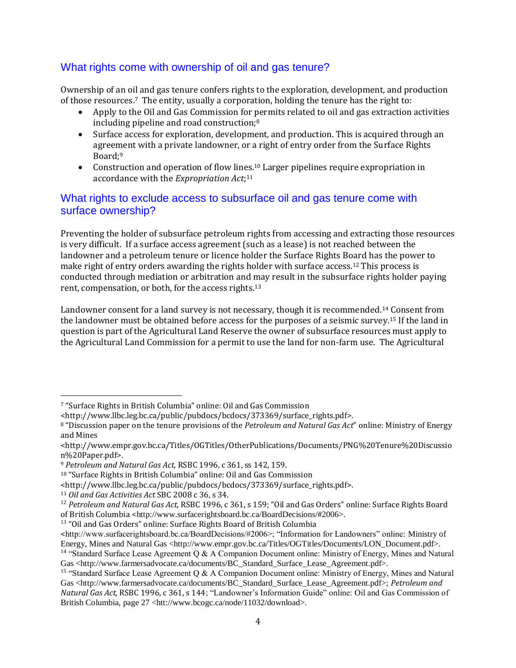# <span id="page-3-0"></span>What rights come with ownership of oil and gas tenure?

Ownership of an oil and gas tenure confers rights to the exploration, development, and production of those resources.7 The entity, usually a corporation, holding the tenure has the right to:

- Apply to the Oil and Gas Commission for permits related to oil and gas extraction activities including pipeline and road construction;<sup>8</sup>
- Surface access for exploration, development, and production. This is acquired through an agreement with a private landowner, or a right of entry order from the Surface Rights Board;<sup>9</sup>
- Construction and operation of flow lines.<sup>10</sup> Larger pipelines require expropriation in accordance with the *Expropriation Act*; 11

## <span id="page-3-1"></span>What rights to exclude access to subsurface oil and gas tenure come with surface ownership?

Preventing the holder of subsurface petroleum rights from accessing and extracting those resources is very difficult. If a surface access agreement (such as a lease) is not reached between the landowner and a petroleum tenure or licence holder the Surface Rights Board has the power to make right of entry orders awarding the rights holder with surface access.<sup>12</sup> This process is conducted through mediation or arbitration and may result in the subsurface rights holder paying rent, compensation, or both, for the access rights.<sup>13</sup>

Landowner consent for a land survey is not necessary, though it is recommended.<sup>14</sup> Consent from the landowner must be obtained before access for the purposes of a seismic survey.<sup>15</sup> If the land in question is part of the Agricultural Land Reserve the owner of subsurface resources must apply to the Agricultural Land Commission for a permit to use the land for non-farm use. The Agricultural

 $\overline{a}$ 

<sup>13</sup> "Oil and Gas Orders" online: Surface Rights Board of British Columbia

<sup>7</sup> "Surface Rights in British Columbia" online: Oil and Gas Commission

<sup>&</sup>lt;http://www.llbc.leg.bc.ca/public/pubdocs/bcdocs/373369/surface\_rights.pdf>.

<sup>8</sup> "Discussion paper on the tenure provisions of the *Petroleum and Natural Gas Act*" online: Ministry of Energy and Mines

<sup>&</sup>lt;http://www.empr.gov.bc.ca/Titles/OGTitles/OtherPublications/Documents/PNG%20Tenure%20Discussio n%20Paper.pdf>.

<sup>9</sup> *Petroleum and Natural Gas Act,* RSBC 1996, c 361, ss 142, 159.

<sup>10</sup> "Surface Rights in British Columbia" online: Oil and Gas Commission

<sup>&</sup>lt;http://www.llbc.leg.bc.ca/public/pubdocs/bcdocs/373369/surface\_rights.pdf>.

<sup>11</sup> *Oil and Gas Activities Act* SBC 2008 c 36, s 34.

<sup>12</sup> *Petroleum and Natural Gas Act,* RSBC 1996, c 361, s 159; "Oil and Gas Orders" online: Surface Rights Board of British Columbia <http://www.surfacerightsboard.bc.ca/BoardDecisions/#2006>.

<sup>&</sup>lt;http://www.surfacerightsboard.bc.ca/BoardDecisions/#2006>; "Information for Landowners" online: Ministry of Energy, Mines and Natural Gas <http://www.empr.gov.bc.ca/Titles/OGTitles/Documents/LON\_Document.pdf>. <sup>14</sup> "Standard Surface Lease Agreement Q & A Companion Document online: Ministry of Energy, Mines and Natural

Gas <http://www.farmersadvocate.ca/documents/BC\_Standard\_Surface\_Lease\_Agreement.pdf>.

<sup>&</sup>lt;sup>15</sup> "Standard Surface Lease Agreement Q & A Companion Document online: Ministry of Energy, Mines and Natural Gas <http://www.farmersadvocate.ca/documents/BC\_Standard\_Surface\_Lease\_Agreement.pdf>; *Petroleum and Natural Gas Act,* RSBC 1996, c 361, s 144; "Landowner's Information Guide" online: Oil and Gas Commission of British Columbia, page 27 <htt://www.bcogc.ca/node/11032/download>.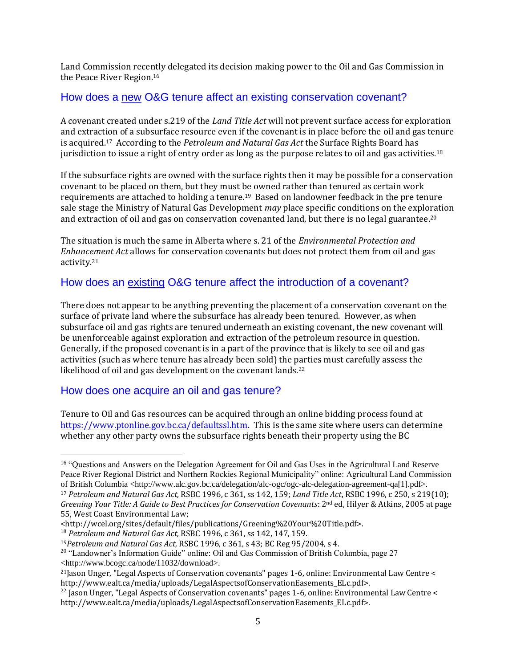Land Commission recently delegated its decision making power to the Oil and Gas Commission in the Peace River Region.<sup>16</sup>

# <span id="page-4-0"></span>How does a new O&G tenure affect an existing conservation covenant?

A covenant created under s.219 of the *Land Title Act* will not prevent surface access for exploration and extraction of a subsurface resource even if the covenant is in place before the oil and gas tenure is acquired.17 According to the *Petroleum and Natural Gas Act* the Surface Rights Board has jurisdiction to issue a right of entry order as long as the purpose relates to oil and gas activities.<sup>18</sup>

If the subsurface rights are owned with the surface rights then it may be possible for a conservation covenant to be placed on them, but they must be owned rather than tenured as certain work requirements are attached to holding a tenure.19 Based on landowner feedback in the pre tenure sale stage the Ministry of Natural Gas Development *may* place specific conditions on the exploration and extraction of oil and gas on conservation covenanted land, but there is no legal guarantee.<sup>20</sup>

The situation is much the same in Alberta where s. 21 of the *Environmental Protection and Enhancement Act* allows for conservation covenants but does not protect them from oil and gas activity.<sup>21</sup>

# <span id="page-4-1"></span>How does an existing O&G tenure affect the introduction of a covenant?

There does not appear to be anything preventing the placement of a conservation covenant on the surface of private land where the subsurface has already been tenured. However, as when subsurface oil and gas rights are tenured underneath an existing covenant, the new covenant will be unenforceable against exploration and extraction of the petroleum resource in question. Generally, if the proposed covenant is in a part of the province that is likely to see oil and gas activities (such as where tenure has already been sold) the parties must carefully assess the likelihood of oil and gas development on the covenant lands.<sup>22</sup>

#### <span id="page-4-2"></span>How does one acquire an oil and gas tenure?

 $\overline{a}$ 

Tenure to Oil and Gas resources can be acquired through an online bidding process found at [https://www.ptonline.gov.bc.ca/defaultssl.htm.](https://www.ptonline.gov.bc.ca/defaultssl.htm) This is the same site where users can determine whether any other party owns the subsurface rights beneath their property using the BC

<sup>18</sup> *Petroleum and Natural Gas Act,* RSBC 1996, c 361, ss 142, 147, 159.

<sup>&</sup>lt;sup>16</sup> "Questions and Answers on the Delegation Agreement for Oil and Gas Uses in the Agricultural Land Reserve Peace River Regional District and Northern Rockies Regional Municipality" online: Agricultural Land Commission of British Columbia <http://www.alc.gov.bc.ca/delegation/alc-ogc/ogc-alc-delegation-agreement-qa[1].pdf>.

<sup>17</sup> *Petroleum and Natural Gas Act,* RSBC 1996, c 361, ss 142, 159; *Land Title Act*, RSBC 1996, c 250, s 219(10); *Greening Your Title: A Guide to Best Practices for Conservation Covenants*: 2nd ed, Hilyer & Atkins, 2005 at page 55, West Coast Environmental Law;

<sup>&</sup>lt;http://wcel.org/sites/default/files/publications/Greening%20Your%20Title.pdf>.

<sup>19</sup>*Petroleum and Natural Gas Act,* RSBC 1996, c 361, s 43; BC Reg 95/2004, s 4.

<sup>&</sup>lt;sup>20</sup> "Landowner's Information Guide" online: Oil and Gas Commission of British Columbia, page 27 <http://www.bcogc.ca/node/11032/download>.

<sup>21</sup>Jason Unger, "Legal Aspects of Conservation covenants" pages 1-6, online: Environmental Law Centre < http://www.ealt.ca/media/uploads/LegalAspectsofConservationEasements\_ELc.pdf>.

 $^{22}$  Jason Unger, "Legal Aspects of Conservation covenants" pages 1-6, online: Environmental Law Centre  $\leq$ http://www.ealt.ca/media/uploads/LegalAspectsofConservationEasements\_ELc.pdf>.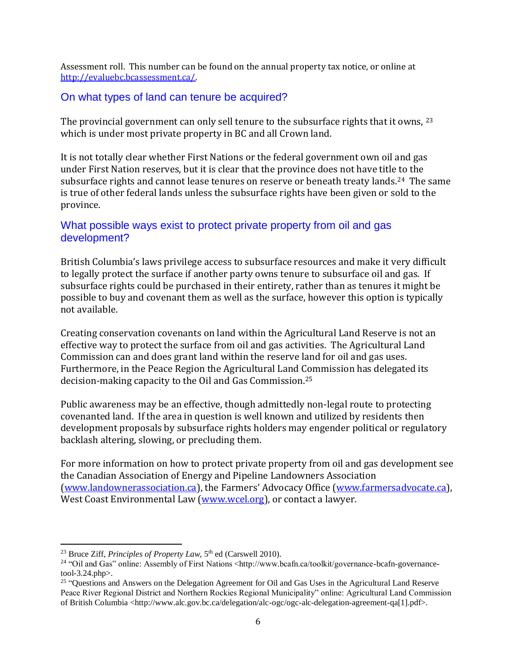Assessment roll. This number can be found on the annual property tax notice, or online at [http://evaluebc.bcassessment.ca/.](http://evaluebc.bcassessment.ca/)

### <span id="page-5-0"></span>On what types of land can tenure be acquired?

The provincial government can only sell tenure to the subsurface rights that it owns, <sup>23</sup> which is under most private property in BC and all Crown land.

It is not totally clear whether First Nations or the federal government own oil and gas under First Nation reserves, but it is clear that the province does not have title to the subsurface rights and cannot lease tenures on reserve or beneath treaty lands.<sup>24</sup> The same is true of other federal lands unless the subsurface rights have been given or sold to the province.

# <span id="page-5-1"></span>What possible ways exist to protect private property from oil and gas development?

British Columbia's laws privilege access to subsurface resources and make it very difficult to legally protect the surface if another party owns tenure to subsurface oil and gas. If subsurface rights could be purchased in their entirety, rather than as tenures it might be possible to buy and covenant them as well as the surface, however this option is typically not available.

Creating conservation covenants on land within the Agricultural Land Reserve is not an effective way to protect the surface from oil and gas activities. The Agricultural Land Commission can and does grant land within the reserve land for oil and gas uses. Furthermore, in the Peace Region the Agricultural Land Commission has delegated its decision-making capacity to the Oil and Gas Commission.<sup>25</sup>

Public awareness may be an effective, though admittedly non-legal route to protecting covenanted land. If the area in question is well known and utilized by residents then development proposals by subsurface rights holders may engender political or regulatory backlash altering, slowing, or precluding them.

For more information on how to protect private property from oil and gas development see the Canadian Association of Energy and Pipeline Landowners Association [\(www.landownerassociation.ca](http://www.landownerassociation.ca/)), the Farmers' Advocacy Office ([www.farmersadvocate.ca\)](http://www.farmersadvocate.ca/), West Coast Environmental Law [\(www.wcel.org\)](http://www.wcel.org/), or contact a lawyer.

 $\overline{a}$ <sup>23</sup> Bruce Ziff, *Principles of Property Law*, 5<sup>th</sup> ed (Carswell 2010).

<sup>&</sup>lt;sup>24</sup> "Oil and Gas" online: Assembly of First Nations <http://www.bcafn.ca/toolkit/governance-bcafn-governancetool-3.24.php>.

<sup>&</sup>lt;sup>25</sup> "Questions and Answers on the Delegation Agreement for Oil and Gas Uses in the Agricultural Land Reserve Peace River Regional District and Northern Rockies Regional Municipality" online: Agricultural Land Commission of British Columbia <http://www.alc.gov.bc.ca/delegation/alc-ogc/ogc-alc-delegation-agreement-qa[1].pdf>.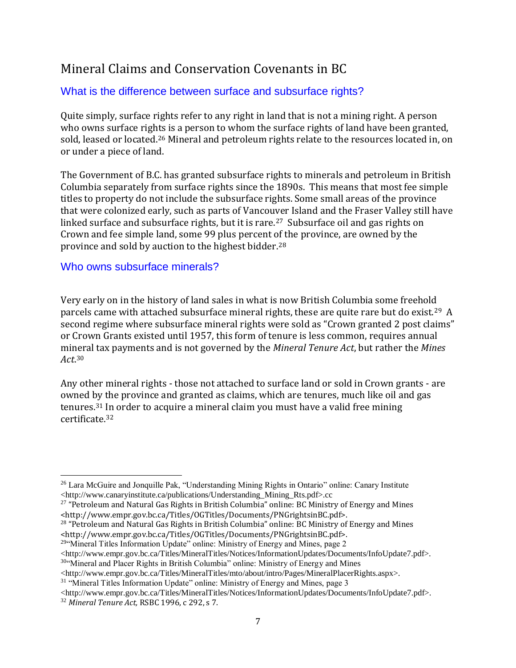# <span id="page-6-0"></span>Mineral Claims and Conservation Covenants in BC

# <span id="page-6-1"></span>What is the difference between surface and subsurface rights?

Quite simply, surface rights refer to any right in land that is not a mining right. A person who owns surface rights is a person to whom the surface rights of land have been granted, sold, leased or located.<sup>26</sup> Mineral and petroleum rights relate to the resources located in, on or under a piece of land.

The Government of B.C. has granted subsurface rights to minerals and petroleum in British Columbia separately from surface rights since the 1890s. This means that most fee simple titles to property do not include the subsurface rights. Some small areas of the province that were colonized early, such as parts of Vancouver Island and the Fraser Valley still have linked surface and subsurface rights, but it is rare.<sup>27</sup> Subsurface oil and gas rights on Crown and fee simple land, some 99 plus percent of the province, are owned by the province and sold by auction to the highest bidder.<sup>28</sup>

# <span id="page-6-2"></span>Who owns subsurface minerals?

Very early on in the history of land sales in what is now British Columbia some freehold parcels came with attached subsurface mineral rights, these are quite rare but do exist.29 A second regime where subsurface mineral rights were sold as "Crown granted 2 post claims" or Crown Grants existed until 1957, this form of tenure is less common, requires annual mineral tax payments and is not governed by the *Mineral Tenure Act*, but rather the *Mines Act*. 30

Any other mineral rights - those not attached to surface land or sold in Crown grants - are owned by the province and granted as claims, which are tenures, much like oil and gas tenures.<sup>31</sup> In order to acquire a mineral claim you must have a valid free mining certificate.<sup>32</sup>

<sup>29"</sup>Mineral Titles Information Update" online: Ministry of Energy and Mines, page 2

<http://www.empr.gov.bc.ca/Titles/MineralTitles/mto/about/intro/Pages/MineralPlacerRights.aspx>.

<sup>31</sup> "Mineral Titles Information Update" online: Ministry of Energy and Mines, page 3

<http://www.empr.gov.bc.ca/Titles/MineralTitles/Notices/InformationUpdates/Documents/InfoUpdate7.pdf>. <sup>32</sup> *Mineral Tenure Act,* RSBC 1996, c 292, s 7.

 $\overline{a}$ <sup>26</sup> Lara McGuire and Jonquille Pak, "Understanding Mining Rights in Ontario" online: Canary Institute <http://www.canaryinstitute.ca/publications/Understanding\_Mining\_Rts.pdf>.cc

 $27$  "Petroleum and Natural Gas Rights in British Columbia" online: BC Ministry of Energy and Mines <http://www.empr.gov.bc.ca/Titles/OGTitles/Documents/PNGrightsinBC.pdf>.

<sup>&</sup>lt;sup>28</sup> "Petroleum and Natural Gas Rights in British Columbia" online: BC Ministry of Energy and Mines <http://www.empr.gov.bc.ca/Titles/OGTitles/Documents/PNGrightsinBC.pdf>.

<sup>&</sup>lt;http://www.empr.gov.bc.ca/Titles/MineralTitles/Notices/InformationUpdates/Documents/InfoUpdate7.pdf>. <sup>30"</sup>Mineral and Placer Rights in British Columbia" online: Ministry of Energy and Mines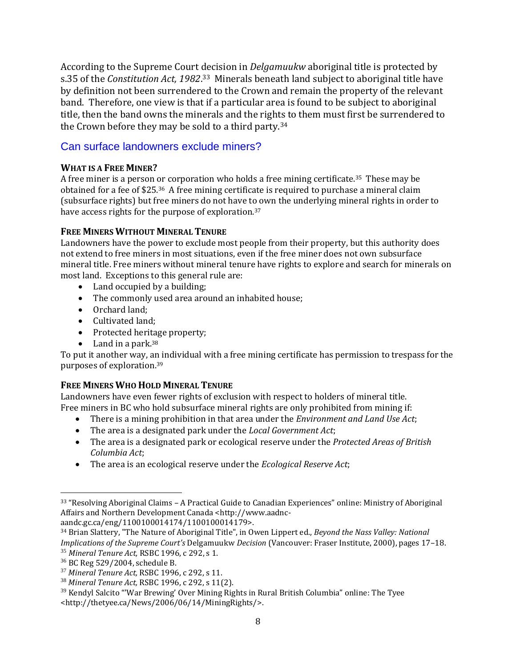According to the Supreme Court decision in *Delgamuukw* aboriginal title is protected by s.35 of the *Constitution Act, 1982*.<sup>33</sup> Minerals beneath land subject to aboriginal title have by definition not been surrendered to the Crown and remain the property of the relevant band. Therefore, one view is that if a particular area is found to be subject to aboriginal title, then the band owns the minerals and the rights to them must first be surrendered to the Crown before they may be sold to a third party.<sup>34</sup>

# <span id="page-7-0"></span>Can surface landowners exclude miners?

### <span id="page-7-1"></span>**WHAT IS A FREE MINER?**

A free miner is a person or corporation who holds a free mining certificate.35 These may be obtained for a fee of \$25.36 A free mining certificate is required to purchase a mineral claim (subsurface rights) but free miners do not have to own the underlying mineral rights in order to have access rights for the purpose of exploration.<sup>37</sup>

# <span id="page-7-2"></span>**FREE MINERS WITHOUT MINERAL TENURE**

Landowners have the power to exclude most people from their property, but this authority does not extend to free miners in most situations, even if the free miner does not own subsurface mineral title. Free miners without mineral tenure have rights to explore and search for minerals on most land. Exceptions to this general rule are:

- Land occupied by a building;
- The commonly used area around an inhabited house:
- Orchard land:
- Cultivated land:
- Protected heritage property;
- $\bullet$  Land in a park.<sup>38</sup>

To put it another way, an individual with a free mining certificate has permission to trespass for the purposes of exploration.<sup>39</sup>

# <span id="page-7-3"></span>**FREE MINERS WHO HOLD MINERAL TENURE**

Landowners have even fewer rights of exclusion with respect to holders of mineral title. Free miners in BC who hold subsurface mineral rights are only prohibited from mining if:

- There is a mining prohibition in that area under the *Environment and Land Use Act*;
- The area is a designated park under the *Local Government Act*;
- The area is a designated park or ecological reserve under the *Protected Areas of British Columbia Act*;
- The area is an ecological reserve under the *Ecological Reserve Act*;

aandc.gc.ca/eng/1100100014174/1100100014179>.

 $\overline{a}$ 

<sup>33</sup> "Resolving Aboriginal Claims – A Practical Guide to Canadian Experiences" online: Ministry of Aboriginal Affairs and Northern Development Canada <http://www.aadnc-

<sup>34</sup> Brian Slattery, "The Nature of Aboriginal Title", in Owen Lippert ed., *Beyond the Nass Valley: National Implications of the Supreme Court's* Delgamuukw *Decision* (Vancouver: Fraser Institute, 2000), pages 17–18. <sup>35</sup> *Mineral Tenure Act,* RSBC 1996, c 292, s 1.

<sup>36</sup> BC Reg 529/2004, schedule B.

<sup>37</sup> *Mineral Tenure Act,* RSBC 1996, c 292, s 11.

<sup>38</sup> *Mineral Tenure Act,* RSBC 1996, c 292, s 11(2).

<sup>39</sup> Kendyl Salcito "'War Brewing' Over Mining Rights in Rural British Columbia" online: The Tyee <http://thetyee.ca/News/2006/06/14/MiningRights/>.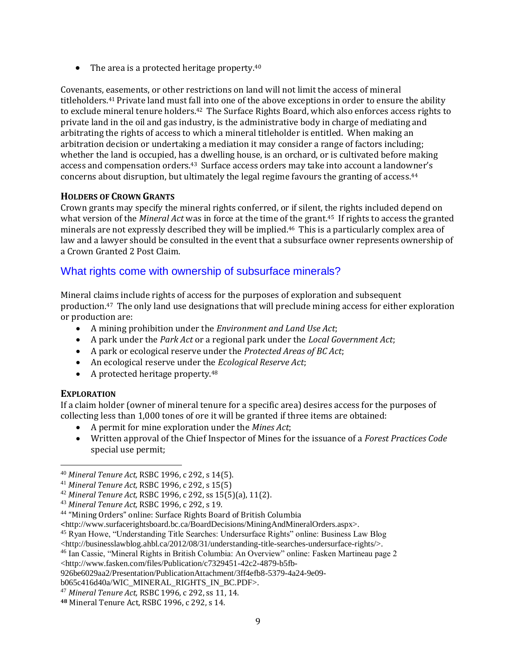• The area is a protected heritage property.<sup>40</sup>

Covenants, easements, or other restrictions on land will not limit the access of mineral titleholders.<sup>41</sup> Private land must fall into one of the above exceptions in order to ensure the ability to exclude mineral tenure holders.<sup>42</sup> The Surface Rights Board, which also enforces access rights to private land in the oil and gas industry, is the administrative body in charge of mediating and arbitrating the rights of access to which a mineral titleholder is entitled. When making an arbitration decision or undertaking a mediation it may consider a range of factors including; whether the land is occupied, has a dwelling house, is an orchard, or is cultivated before making access and compensation orders.<sup>43</sup> Surface access orders may take into account a landowner's concerns about disruption, but ultimately the legal regime favours the granting of access.<sup>44</sup>

#### <span id="page-8-0"></span>**HOLDERS OF CROWN GRANTS**

Crown grants may specify the mineral rights conferred, or if silent, the rights included depend on what version of the *Mineral Act* was in force at the time of the grant.45 If rights to access the granted minerals are not expressly described they will be implied.46 This is a particularly complex area of law and a lawyer should be consulted in the event that a subsurface owner represents ownership of a Crown Granted 2 Post Claim.

### <span id="page-8-1"></span>What rights come with ownership of subsurface minerals?

Mineral claims include rights of access for the purposes of exploration and subsequent production.47 The only land use designations that will preclude mining access for either exploration or production are:

- A mining prohibition under the *Environment and Land Use Act*;
- A park under the *Park Act* or a regional park under the *Local Government Act*;
- A park or ecological reserve under the *Protected Areas of BC Act*;
- An ecological reserve under the *Ecological Reserve Act*;
- A protected heritage property.<sup>48</sup>

#### <span id="page-8-2"></span>**EXPLORATION**

 $\overline{a}$ 

If a claim holder (owner of mineral tenure for a specific area) desires access for the purposes of collecting less than 1,000 tones of ore it will be granted if three items are obtained:

- A permit for mine exploration under the *Mines Act*;
- Written approval of the Chief Inspector of Mines for the issuance of a *Forest Practices Code* special use permit;

<http://businesslawblog.ahbl.ca/2012/08/31/understanding-title-searches-undersurface-rights/>.

<sup>40</sup> *Mineral Tenure Act,* RSBC 1996, c 292, s 14(5).

<sup>41</sup> *Mineral Tenure Act,* RSBC 1996, c 292, s 15(5)

<sup>42</sup> *Mineral Tenure Act,* RSBC 1996, c 292, ss 15(5)(a), 11(2).

<sup>43</sup> *Mineral Tenure Act,* RSBC 1996, c 292, s 19.

<sup>44</sup> "Mining Orders" online: Surface Rights Board of British Columbia

<sup>&</sup>lt;http://www.surfacerightsboard.bc.ca/BoardDecisions/MiningAndMineralOrders.aspx>.

<sup>45</sup> Ryan Howe, "Understanding Title Searches: Undersurface Rights" online: Business Law Blog

<sup>46</sup> Ian Cassie, "Mineral Rights in British Columbia: An Overview" online: Fasken Martineau page 2

<sup>&</sup>lt;http://www.fasken.com/files/Publication/c7329451-42c2-4879-b5fb-

<sup>926</sup>be6029aa2/Presentation/PublicationAttachment/3ff4efb8-5379-4a24-9e09-

b065c416d40a/WIC\_MINERAL\_RIGHTS\_IN\_BC.PDF>.

<sup>47</sup> *Mineral Tenure Act,* RSBC 1996, c 292, ss 11, 14.

**<sup>48</sup>** Mineral Tenure Act, RSBC 1996, c 292, s 14.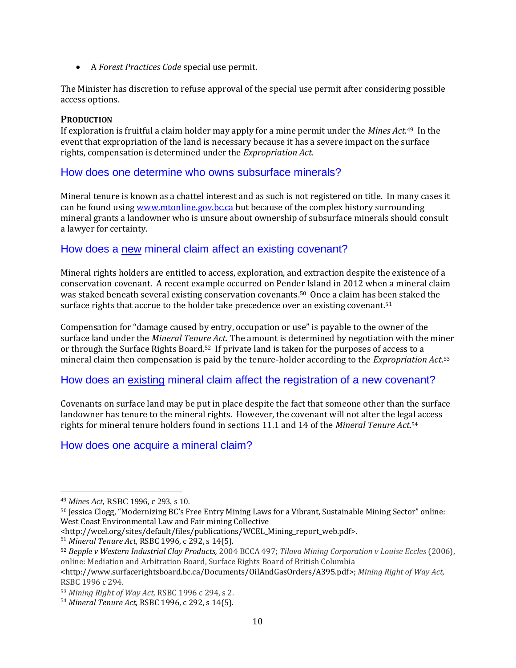A *Forest Practices Code* special use permit.

The Minister has discretion to refuse approval of the special use permit after considering possible access options.

#### <span id="page-9-0"></span>**PRODUCTION**

If exploration is fruitful a claim holder may apply for a mine permit under the *Mines Act*. <sup>49</sup> In the event that expropriation of the land is necessary because it has a severe impact on the surface rights, compensation is determined under the *Expropriation Act*.

# <span id="page-9-1"></span>How does one determine who owns subsurface minerals?

Mineral tenure is known as a chattel interest and as such is not registered on title. In many cases it can be found usin[g www.mtonline.gov.bc.ca](http://www.mtonline.gov.bc.ca/) but because of the complex history surrounding mineral grants a landowner who is unsure about ownership of subsurface minerals should consult a lawyer for certainty.

# <span id="page-9-2"></span>How does a new mineral claim affect an existing covenant?

Mineral rights holders are entitled to access, exploration, and extraction despite the existence of a conservation covenant. A recent example occurred on Pender Island in 2012 when a mineral claim was staked beneath several existing conservation covenants.<sup>50</sup> Once a claim has been staked the surface rights that accrue to the holder take precedence over an existing covenant.<sup>51</sup>

Compensation for "damage caused by entry, occupation or use" is payable to the owner of the surface land under the *Mineral Tenure Act*. The amount is determined by negotiation with the miner or through the Surface Rights Board.52 If private land is taken for the purposes of access to a mineral claim then compensation is paid by the tenure-holder according to the *Expropriation Act*. 53

# <span id="page-9-3"></span>How does an existing mineral claim affect the registration of a new covenant?

Covenants on surface land may be put in place despite the fact that someone other than the surface landowner has tenure to the mineral rights. However, the covenant will not alter the legal access rights for mineral tenure holders found in sections 11.1 and 14 of the *Mineral Tenure Act*. 54

# <span id="page-9-4"></span>How does one acquire a mineral claim?

 $\overline{a}$ 

<sup>49</sup> *Mines Act,* RSBC 1996, c 293, s 10.

<sup>50</sup> Jessica Clogg, "Modernizing BC's Free Entry Mining Laws for a Vibrant, Sustainable Mining Sector" online: West Coast Environmental Law and Fair mining Collective

<sup>&</sup>lt;http://wcel.org/sites/default/files/publications/WCEL\_Mining\_report\_web.pdf>.

<sup>51</sup> *Mineral Tenure Act,* RSBC 1996, c 292, s 14(5).

<sup>52</sup> *Bepple v Western Industrial Clay Products,* 2004 BCCA 497; *Tilava Mining Corporation v Louise Eccles* (2006), online: Mediation and Arbitration Board, Surface Rights Board of British Columbia

[<sup>&</sup>lt;http://www.surfacerightsboard.bc.ca/Documents/OilAndGasOrders/A395.pdf>](http://www.surfacerightsboard.bc.ca/Documents/OilAndGasOrders/A395.pdf); *Mining Right of Way Act,*  RSBC 1996 c 294.

<sup>53</sup> *Mining Right of Way Act,* RSBC 1996 c 294, s 2.

<sup>54</sup> *Mineral Tenure Act,* RSBC 1996, c 292, s 14(5).